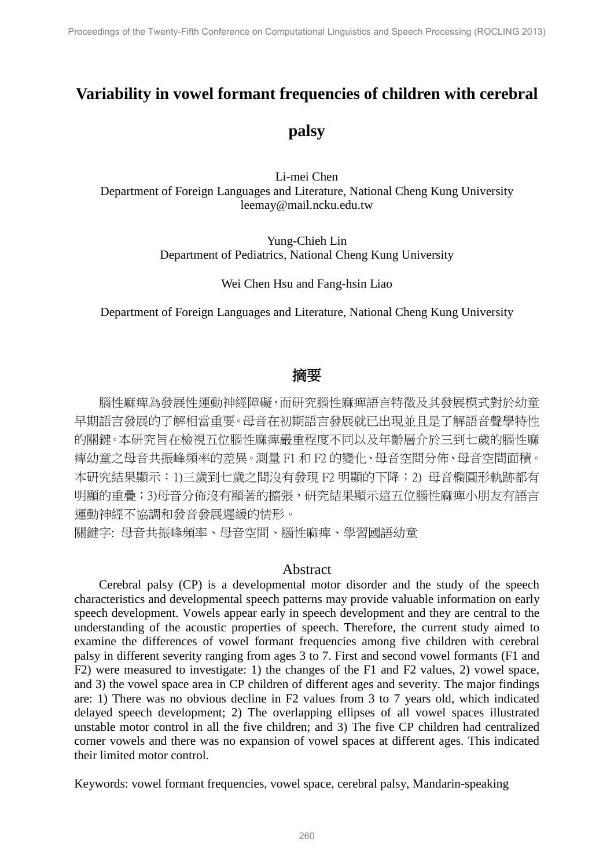# **Variability in vowel formant frequencies of children with cerebral**

# **palsy**

Li-mei Chen Department of Foreign Languages and Literature, National Cheng Kung University leemay@mail.ncku.edu.tw

> Yung-Chieh Lin Department of Pediatrics, National Cheng Kung University

> > Wei Chen Hsu and Fang-hsin Liao

Department of Foreign Languages and Literature, National Cheng Kung University

# 摘要

腦性麻痺為發展性運動神經障礙,而研究腦性麻痺語言特徵及其發展模式對於幼童 早期語言發展的了解相當重要。母音在初期語言發展就已出現並且是了解語音聲學特性 的關鍵。本研究旨在檢視五位腦性麻痺嚴重程度不同以及年齡層介於三到七歲的腦性麻 痺幼童之母音共振峰頻率的差異。測量 F1 和 F2 的變化、母音空間分佈、母音空間面積。 本研究結果顯示:1)三歲到七歲之間沒有發現 F2 明顯的下降;2) 母音橢圓形軌跡都有 明顯的重疊;3)母音分佈沒有顯著的擴張,研究結果顯示這五位腦性麻痺小朋友有語言 運動神經不協調和發音發展遲緩的情形。

關鍵字: 母音共振峰頻率、母音空間、腦性麻痺、學習國語幼童

#### Abstract

Cerebral palsy (CP) is a developmental motor disorder and the study of the speech characteristics and developmental speech patterns may provide valuable information on early speech development. Vowels appear early in speech development and they are central to the understanding of the acoustic properties of speech. Therefore, the current study aimed to examine the differences of vowel formant frequencies among five children with cerebral palsy in different severity ranging from ages 3 to 7. First and second vowel formants (F1 and F2) were measured to investigate: 1) the changes of the F1 and F2 values, 2) vowel space, and 3) the vowel space area in CP children of different ages and severity. The major findings are: 1) There was no obvious decline in F2 values from 3 to 7 years old, which indicated delayed speech development; 2) The overlapping ellipses of all vowel spaces illustrated unstable motor control in all the five children; and 3) The five CP children had centralized corner vowels and there was no expansion of vowel spaces at different ages. This indicated their limited motor control.

Keywords: vowel formant frequencies, vowel space, cerebral palsy, Mandarin-speaking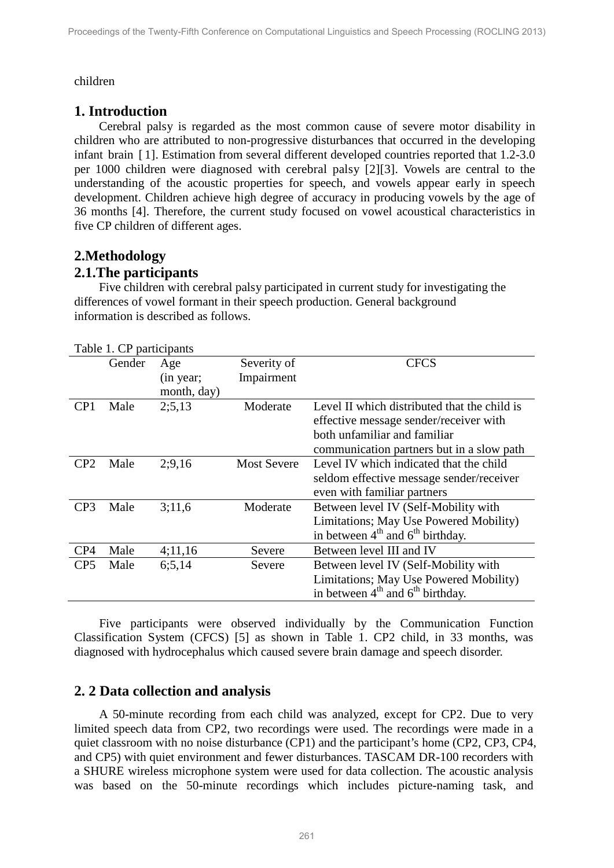#### children

# **1. Introduction**

Cerebral palsy is regarded as the most common cause of severe motor disability in children who are attributed to non-progressive disturbances that occurred in the developing infant brain [ 1]. Estimation from several different developed countries reported that 1.2-3.0 per 1000 children were diagnosed with cerebral palsy [2][3]. Vowels are central to the understanding of the acoustic properties for speech, and vowels appear early in speech development. Children achieve high degree of accuracy in producing vowels by the age of 36 months [4]. Therefore, the current study focused on vowel acoustical characteristics in five CP children of different ages.

# **2.Methodology**

### **2.1.The participants**

Five children with cerebral palsy participated in current study for investigating the differences of vowel formant in their speech production. General background information is described as follows.

| Level II which distributed that the child is |
|----------------------------------------------|
| effective message sender/receiver with       |
|                                              |
| communication partners but in a slow path    |
| Level IV which indicated that the child      |
| seldom effective message sender/receiver     |
|                                              |
| Between level IV (Self-Mobility with         |
| Limitations; May Use Powered Mobility)       |
|                                              |
|                                              |
| Between level IV (Self-Mobility with         |
| Limitations; May Use Powered Mobility)       |
|                                              |
|                                              |

Five participants were observed individually by the Communication Function Classification System (CFCS) [5] as shown in Table 1. CP2 child, in 33 months, was diagnosed with hydrocephalus which caused severe brain damage and speech disorder.

# **2. 2 Data collection and analysis**

A 50-minute recording from each child was analyzed, except for CP2. Due to very limited speech data from CP2, two recordings were used. The recordings were made in a quiet classroom with no noise disturbance (CP1) and the participant's home (CP2, CP3, CP4, and CP5) with quiet environment and fewer disturbances. TASCAM DR-100 recorders with a SHURE wireless microphone system were used for data collection. The acoustic analysis was based on the 50-minute recordings which includes picture-naming task, and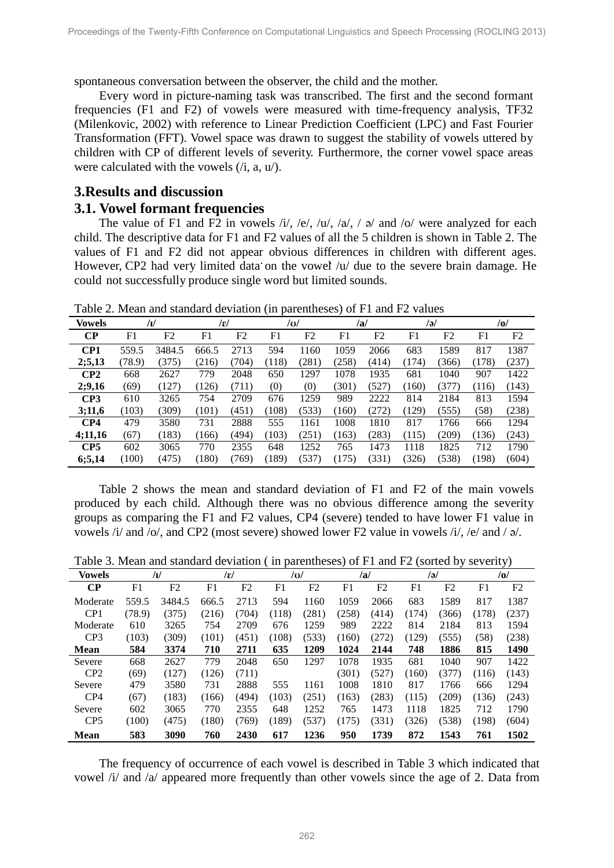spontaneous conversation between the observer, the child and the mother.

Every word in picture-naming task was transcribed. The first and the second formant frequencies (F1 and F2) of vowels were measured with time-frequency analysis, TF32 (Milenkovic, 2002) with reference to Linear Prediction Coefficient (LPC) and Fast Fourier Transformation (FFT). Vowel space was drawn to suggest the stability of vowels uttered by children with CP of different levels of severity. Furthermore, the corner vowel space areas were calculated with the vowels  $(i, a, u)$ .

# **3.Results and discussion**

#### **3.1. Vowel formant frequencies**

The value of F1 and F2 in vowels  $\lambda i/$ ,  $\lambda e/$ ,  $\lambda u/$ ,  $\lambda u/$ ,  $\lambda$  and  $\lambda o/$  were analyzed for each child. The descriptive data for F1 and F2 values of all the 5 children is shown in Table 2. The values of F1 and F2 did not appear obvious differences in children with different ages. However, CP2 had very limited data on the vowel /u/ due to the severe brain damage. He could not successfully produce single word but limited sounds.

Table 2. Mean and standard deviation (in parentheses) of F1 and F2 values

| <b>Vowels</b>   |        | $\sqrt{I}$ | /ɛ/   |                |       | /v/   |       | /a/            | ləl   |       |       | /0/            |
|-----------------|--------|------------|-------|----------------|-------|-------|-------|----------------|-------|-------|-------|----------------|
| $\bf CP$        | F1     | F2         | F1    | F <sub>2</sub> | F1    | F2    | F1    | F <sub>2</sub> | F1    | F2    | F1    | F <sub>2</sub> |
| CP1             | 559.5  | 3484.5     | 666.5 | 2713           | 594   | 1160  | 1059  | 2066           | 683   | 1589  | 817   | 1387           |
| 2; 5, 13        | (78.9) | (375)      | (216) | (704)          | (118) | (281) | (258) | (414)          | (174) | (366) | (178) | (237)          |
| CP2             | 668    | 2627       | 779   | 2048           | 650   | 1297  | 1078  | 1935           | 681   | 1040  | 907   | 1422           |
| 2;9,16          | (69)   | (127)      | (126) | (711)          | (0)   | (0)   | (301) | (527)          | (160) | (377) | (116) | (143)          |
| CP3             | 610    | 3265       | 754   | 2709           | 676   | 1259  | 989   | 2222           | 814   | 2184  | 813   | 1594           |
| 3;11,6          | (103)  | (309)      | (101) | (451)          | (108) | (533) | (160) | (272)          | (129) | (555) | (58)  | (238)          |
| CP4             | 479    | 3580       | 731   | 2888           | 555   | 1161  | 1008  | 1810           | 817   | 1766  | 666   | 1294           |
| 4;11,16         | (67)   | (183)      | (166) | (494)          | (103) | (251) | (163) | (283)          | (115) | (209) | (136) | (243)          |
| CP <sub>5</sub> | 602    | 3065       | 770   | 2355           | 648   | 1252  | 765   | 1473           | 1118  | 1825  | 712   | 1790           |
| 6;5,14          | (100)  | (475)      | (180) | (769)          | (189) | (537) | (175) | (331)          | (326) | (538) | (198) | (604)          |

Table 2 shows the mean and standard deviation of F1 and F2 of the main vowels produced by each child. Although there was no obvious difference among the severity groups as comparing the F1 and F2 values, CP4 (severe) tended to have lower F1 value in vowels /i/ and /o/, and CP2 (most severe) showed lower F2 value in vowels /i/, /e/ and / ə/.

Table 3. Mean and standard deviation ( in parentheses) of F1 and F2 (sorted by severity)

| Vowels          |        | /1/    | lɛl   |       |       | /v/   |       | /a/   |       | ləl   |       | /o/   |
|-----------------|--------|--------|-------|-------|-------|-------|-------|-------|-------|-------|-------|-------|
| $\bf CP$        | F1     | F2     | F1    | F2    | F1    | F2    | F1    | F2    | F1    | F2    | F1    | F2    |
| Moderate        | 559.5  | 3484.5 | 666.5 | 2713  | 594   | 1160  | 1059  | 2066  | 683   | 1589  | 817   | 1387  |
| CP <sub>1</sub> | (78.9) | (375)  | (216) | (704) | (118) | (281) | (258) | (414) | (174) | (366) | (178) | (237) |
| Moderate        | 610    | 3265   | 754   | 2709  | 676   | 1259  | 989   | 2222  | 814   | 2184  | 813   | 1594  |
| CP <sub>3</sub> | (103)  | (309)  | (101) | (451) | (108) | (533) | (160) | (272) | (129) | (555) | (58)  | (238) |
| <b>Mean</b>     | 584    | 3374   | 710   | 2711  | 635   | 1209  | 1024  | 2144  | 748   | 1886  | 815   | 1490  |
| Severe          | 668    | 2627   | 779   | 2048  | 650   | 1297  | 1078  | 1935  | 681   | 1040  | 907   | 1422  |
| CP <sub>2</sub> | (69)   | (127)  | (126) | (711) |       |       | (301) | (527) | (160) | (377) | (116) | (143) |
| Severe          | 479    | 3580   | 731   | 2888  | 555   | 1161  | 1008  | 1810  | 817   | 1766  | 666   | 1294  |
| CP4             | (67)   | (183)  | (166) | (494) | (103) | (251) | (163) | (283) | (115) | (209) | (136) | (243) |
| Severe          | 602    | 3065   | 770   | 2355  | 648   | 1252  | 765   | 1473  | 1118  | 1825  | 712   | 1790  |
| CP <sub>5</sub> | (100)  | (475)  | (180) | (769) | (189) | (537) | (175) | (331) | (326) | (538) | (198) | (604) |
| <b>Mean</b>     | 583    | 3090   | 760   | 2430  | 617   | 1236  | 950   | 1739  | 872   | 1543  | 761   | 1502  |

The frequency of occurrence of each vowel is described in Table 3 which indicated that vowel /i/ and /a/ appeared more frequently than other vowels since the age of 2. Data from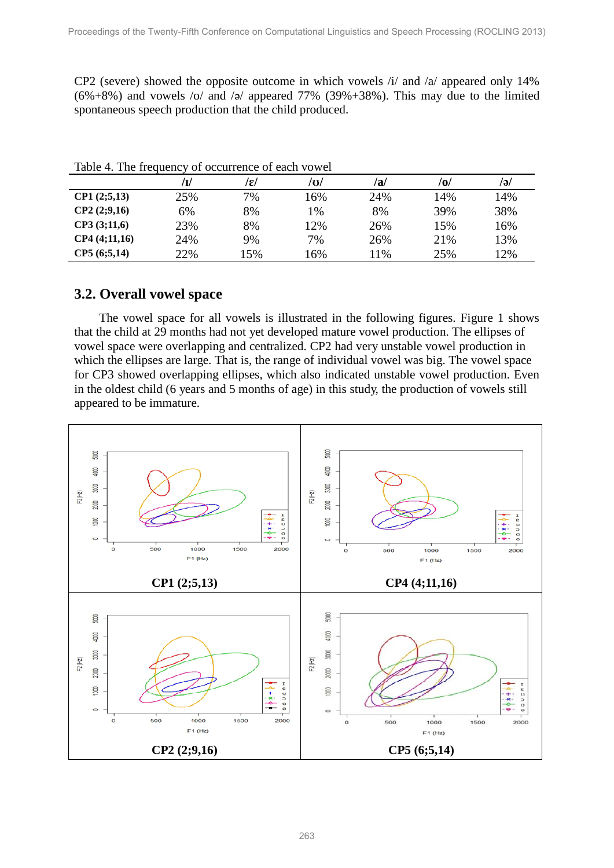CP2 (severe) showed the opposite outcome in which vowels /i/ and /a/ appeared only 14%  $(6\% + 8\%)$  and vowels /o/ and /ə/ appeared 77% (39%+38%). This may due to the limited spontaneous speech production that the child produced.

|              |     | /ɛ/ | /o/ | /a/ | /0/ | /ə/ |  |  |  |  |  |
|--------------|-----|-----|-----|-----|-----|-----|--|--|--|--|--|
| CP1(2;5,13)  | 25% | 7%  | 16% | 24% | 14% | 14% |  |  |  |  |  |
| CP2(2;9,16)  | 6%  | 8%  | 1%  | 8%  | 39% | 38% |  |  |  |  |  |
| CP3(3;11,6)  | 23% | 8%  | 12% | 26% | 15% | 16% |  |  |  |  |  |
| CP4(4;11,16) | 24% | 9%  | 7%  | 26% | 21% | 13% |  |  |  |  |  |
| CP5(6;5,14)  | 22% | 15% | 16% | 11% | 25% | 12% |  |  |  |  |  |

Table 4. The frequency of occurrence of each vowel

# **3.2. Overall vowel space**

The vowel space for all vowels is illustrated in the following figures. Figure 1 shows that the child at 29 months had not yet developed mature vowel production. The ellipses of vowel space were overlapping and centralized. CP2 had very unstable vowel production in which the ellipses are large. That is, the range of individual vowel was big. The vowel space for CP3 showed overlapping ellipses, which also indicated unstable vowel production. Even in the oldest child (6 years and 5 months of age) in this study, the production of vowels still appeared to be immature.

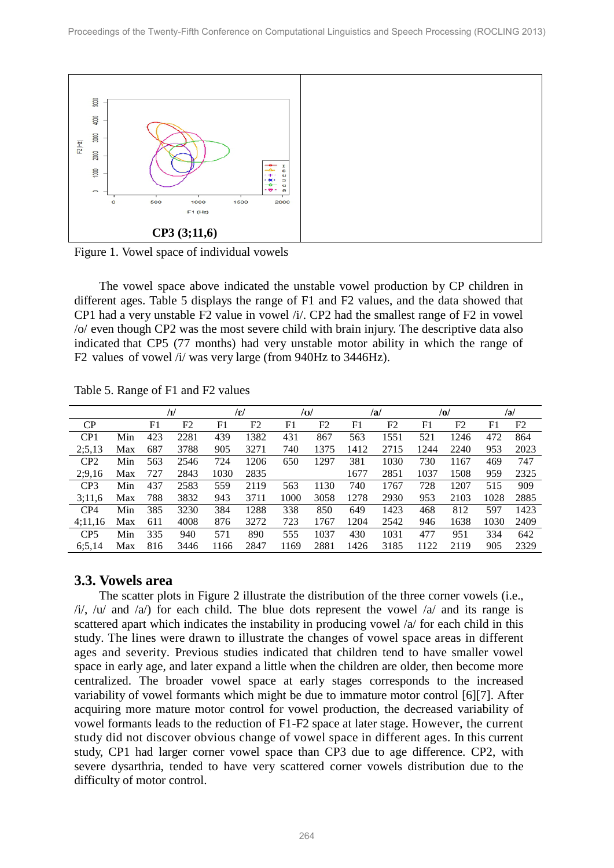

Figure 1. Vowel space of individual vowels

The vowel space above indicated the unstable vowel production by CP children in different ages. Table 5 displays the range of F1 and F2 values, and the data showed that CP1 had a very unstable F2 value in vowel /i/. CP2 had the smallest range of F2 in vowel /o/ even though CP2 was the most severe child with brain injury. The descriptive data also indicated that CP5 (77 months) had very unstable motor ability in which the range of F2 values of vowel /i/ was very large (from 940Hz to 3446Hz).

|                 |     |                | /1/  |      | /ɛ/  | $\overline{a}$ |      |      | /a/  |      | $\overline{10}$ |                | /ə/            |
|-----------------|-----|----------------|------|------|------|----------------|------|------|------|------|-----------------|----------------|----------------|
| CP              |     | F <sub>1</sub> | F2   | F1   | F2   | F <sub>1</sub> | F2   | F1   | F2   | F1   | F <sub>2</sub>  | F <sub>1</sub> | F <sub>2</sub> |
| CP1             | Min | 423            | 2281 | 439  | 1382 | 431            | 867  | 563  | 1551 | 521  | 1246            | 472            | 864            |
| 2; 5, 13        | Max | 687            | 3788 | 905  | 3271 | 740            | 1375 | 1412 | 2715 | 1244 | 2240            | 953            | 2023           |
| CP <sub>2</sub> | Min | 563            | 2546 | 724  | 1206 | 650            | 1297 | 381  | 1030 | 730  | 1167            | 469            | 747            |
| 2;9,16          | Max | 727            | 2843 | 1030 | 2835 |                |      | 1677 | 2851 | 1037 | 1508            | 959            | 2325           |
| CP <sub>3</sub> | Min | 437            | 2583 | 559  | 2119 | 563            | 1130 | 740  | 1767 | 728  | 1207            | 515            | 909            |
| 3;11,6          | Max | 788            | 3832 | 943  | 3711 | 1000           | 3058 | 1278 | 2930 | 953  | 2103            | 1028           | 2885           |
| CP4             | Min | 385            | 3230 | 384  | 1288 | 338            | 850  | 649  | 1423 | 468  | 812             | 597            | 1423           |
| 4:11,16         | Max | 611            | 4008 | 876  | 3272 | 723            | 1767 | 1204 | 2542 | 946  | 1638            | 1030           | 2409           |
| CP <sub>5</sub> | Min | 335            | 940  | 571  | 890  | 555            | 1037 | 430  | 1031 | 477  | 951             | 334            | 642            |
| 6; 5, 14        | Max | 816            | 3446 | 1166 | 2847 | 1169           | 2881 | 1426 | 3185 | 1122 | 2119            | 905            | 2329           |

Table 5. Range of F1 and F2 values

### **3.3. Vowels area**

The scatter plots in Figure 2 illustrate the distribution of the three corner vowels (i.e.,  $\langle i \rangle$ ,  $\langle u \rangle$  and  $\langle a \rangle$  for each child. The blue dots represent the vowel  $\langle a \rangle$  and its range is scattered apart which indicates the instability in producing vowel /a/ for each child in this study. The lines were drawn to illustrate the changes of vowel space areas in different ages and severity. Previous studies indicated that children tend to have smaller vowel space in early age, and later expand a little when the children are older, then become more centralized. The broader vowel space at early stages corresponds to the increased variability of vowel formants which might be due to immature motor control [6][7]. After acquiring more mature motor control for vowel production, the decreased variability of vowel formants leads to the reduction of F1-F2 space at later stage. However, the current study did not discover obvious change of vowel space in different ages. In this current study, CP1 had larger corner vowel space than CP3 due to age difference. CP2, with severe dysarthria, tended to have very scattered corner vowels distribution due to the difficulty of motor control.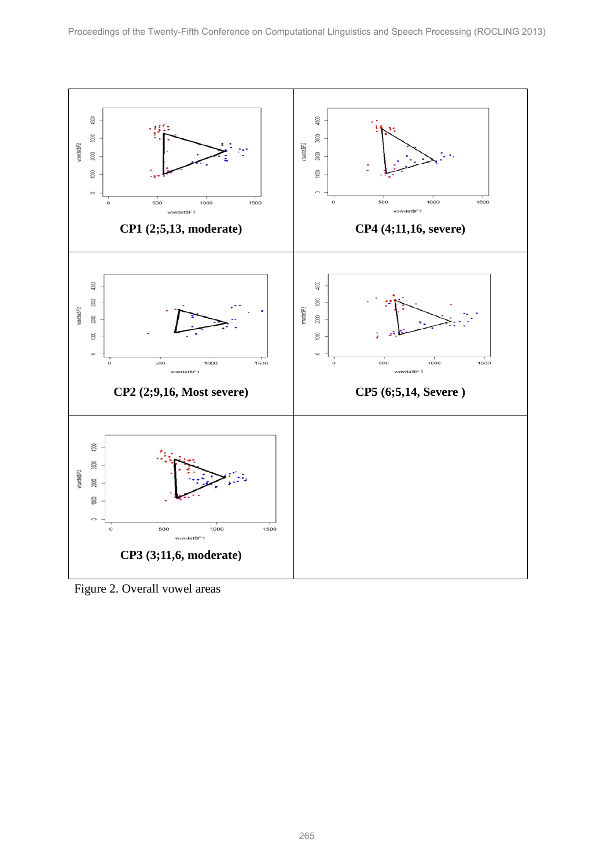

Figure 2. Overall vowel areas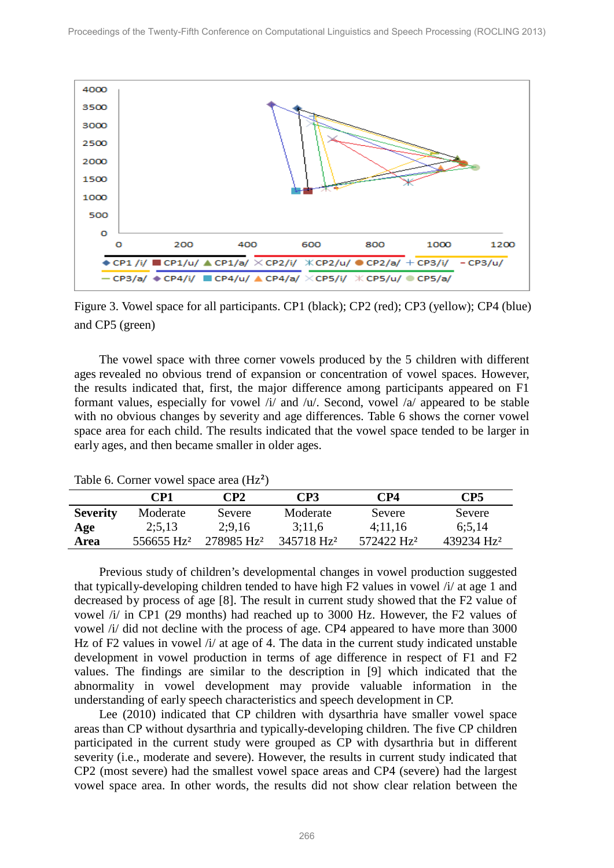

Figure 3. Vowel space for all participants. CP1 (black); CP2 (red); CP3 (yellow); CP4 (blue) and CP5 (green)

The vowel space with three corner vowels produced by the 5 children with different ages revealed no obvious trend of expansion or concentration of vowel spaces. However, the results indicated that, first, the major difference among participants appeared on F1 formant values, especially for vowel  $\pi$  and  $\pi$ . Second, vowel  $\pi$  appeared to be stable with no obvious changes by severity and age differences. Table 6 shows the corner vowel space area for each child. The results indicated that the vowel space tended to be larger in early ages, and then became smaller in older ages.

|                 | CP1                    | CP2                    | CP3                    | CP4                    | CP5                    |
|-----------------|------------------------|------------------------|------------------------|------------------------|------------------------|
| <b>Severity</b> | Moderate               | Severe                 | Moderate               | Severe                 | Severe                 |
| Age             | 2:5,13                 | 2:9.16                 | 3:11,6                 | 4:11.16                | 6:5.14                 |
| Area            | 556655 Hz <sup>2</sup> | 278985 Hz <sup>2</sup> | 345718 Hz <sup>2</sup> | 572422 Hz <sup>2</sup> | 439234 Hz <sup>2</sup> |

Table 6. Corner vowel space area (Hz<sup>2</sup>)

Previous study of children's developmental changes in vowel production suggested that typically-developing children tended to have high  $F2$  values in vowel  $\pi/4$  at age 1 and decreased by process of age [8]. The result in current study showed that the F2 value of vowel /i/ in CP1 (29 months) had reached up to 3000 Hz. However, the F2 values of vowel /i/ did not decline with the process of age. CP4 appeared to have more than 3000 Hz of F2 values in vowel /i/ at age of 4. The data in the current study indicated unstable development in vowel production in terms of age difference in respect of F1 and F2 values. The findings are similar to the description in [9] which indicated that the abnormality in vowel development may provide valuable information in the understanding of early speech characteristics and speech development in CP.

Lee (2010) indicated that CP children with dysarthria have smaller vowel space areas than CP without dysarthria and typically-developing children. The five CP children participated in the current study were grouped as CP with dysarthria but in different severity (i.e., moderate and severe). However, the results in current study indicated that CP2 (most severe) had the smallest vowel space areas and CP4 (severe) had the largest vowel space area. In other words, the results did not show clear relation between the